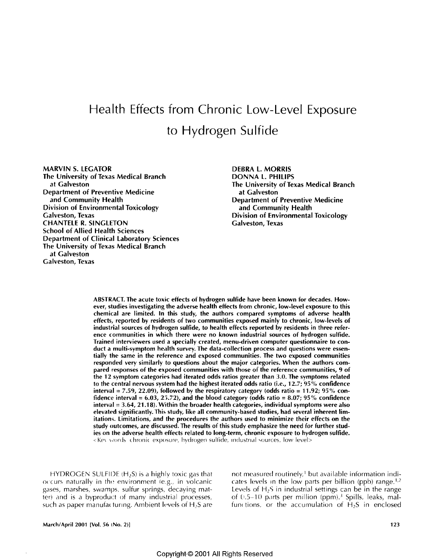# Health Effects from Chronic Low-Level Exposure to Hydrogen Sulfide

MARVIN S. LEGATOR The University of Texas Medical Branch at Galveston Department of Preventive Medicine and Community Health Division of Environmental Toxicology Galveston, Texas **CHANTELE R. SINGLETON** School of Allied Health Sciences Department of Clinical Laboratory Sciences The University of Texas Medical Branch at Galveston Galveston, Texas

DEBRA L. MORRIS DONNA L. PHILIPS The University of Texas Medical Branch at Galveston Department of Preventive Medicine and Community Health Division of Environmental Toxicology Galveston, Texas

ABSTRACT. The acute toxic effects of hydrogen sulfide have been known for decades. However, studies investigating the adverse health effects from chronic, low-level exposure to this chemical are limited. In this study, the authors compared symptoms of adverse health effects, reported by residents of two communities exposed mainly to chronic, low-levels of industrial sources of hydrogen sulfide, to health effects reported by residents in three reference communities in which there were no known industrial sources of hydrogen sulfide. Trained interviewers used a specially created, menu-driven computer questionnaire to conduct a multi-symptom health survey. The data-collection process and questions were essentially the same in the reference and exposed communities. The two exposed communities responded very similarly to questions about the major categories. When the authors compared responses of the exposed communities with those of the reference communities, 9 of the 12 symptom categories had iterated odds ratios greater than 3.0. The symptoms related to the central nervous system had the highest iterated odds ratio (i.e., 12.7; 95% confidence interval  $= 7.59$ , 22.09), followed by the respiratory category (odds ratio  $= 11.92$ ; 95% confidence interval = 6.03, 25.72), and the blood category (odds ratio = 8.07; 95% confidence interval = 3.64, 21.18). Within the broader health categories, individual symptoms were also elevated significantly. This study, like all community-based studies, had several inherent limitations. Limitations, and the procedures the authors used to minimize their effects on the study outcomes, are discussed. The results of this study emphasize the need for further studies on the adverse health effects related to long-term, chronic exposure to hydrogen sulfide. < Key words (hronic exposure, hydrogen sulfide, industrial sources, low level>

HYDROGEN SULFIDE  $(H_2S)$  is a highly toxic gas that occurs naturally in the environment (e.g., in volcanic gases, marshes, swamps, sulfur springs, decaying matter) and is a byproduct of many industrial processes, such as paper manufacturing. Ambient levels of  $H_2S$  are

not measured routinely,<sup>1</sup> but available information indicates levels in the low parts per billion (ppb) range.<sup>1,2</sup> Levels of  $H_2S$  in industrial settings can be in the range of  $(0.5-10)$  parts per million (ppm).<sup>3</sup> Spills, leaks, malfunctions, or the accumulation of  $H_2S$  in enclosed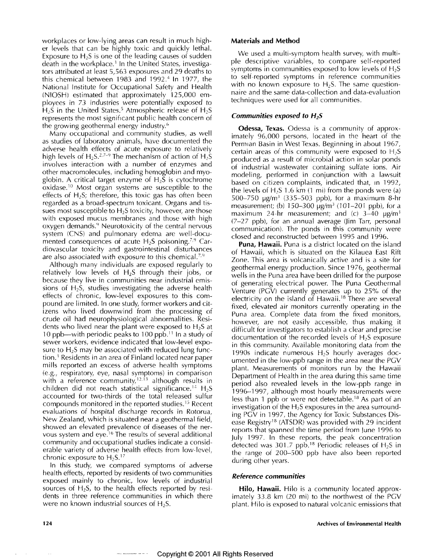workplaces or low-lying areas can result in much higher levels that can be highly toxic and quickly lethal. Exposure to  $H<sub>2</sub>S$  is one of the leading causes of sudden death in the workplace.<sup>1</sup> In the United States, investigators attributed at least 5,563 exposures and 29 deaths to this chemical between 1983 and 1992.<sup>4</sup> In 1977, the National Institute for Occupational Safety and Health (NIOSH) estimated that approximately 125,000 employees in 73 industries were potentially exposed to  $H<sub>2</sub>S$  in the United States.<sup>5</sup> Atmospheric release of  $H<sub>2</sub>S$ represents the most significant public health concern of the growing geothermal energy industry. $6$ 

Many occupational and community studies, as well as studies of laboratory animals, have documented the adverse health effects of acute exposure to relatively high levels of  $H_2S^{2,7-9}$  The mechanism of action of  $H_2S$ involves interaction with a number of enzymes and other macromolecules, including hemoglobin and myoglobin. A critical target enzyme of  $H_2\overline{S}$  is cytochrome  $\alpha$ xidase.<sup>10</sup> Most organ systems are susceptible to the effects of  $H_2S$ ; therefore, this toxic gas has often been regarded as a broad-spectrum toxicant. Organs and tissues most susceptible to  $H_2S$  toxicity, however, are those with exposed mucus membranes and those with high oxygen demands.'! Neurotoxicity of the central nervous system (CNS) and pulmonary edema are well-documented consequences of acute  $H_2S$  poisoning.<sup>7,9</sup> Cardiovascular toxicity and gastrointestinal disturbances are also associated with exposure to this chemical.<sup>7,9</sup>

Although many individuals are exposed regularly to relativelv low levels of H2S through their jobs, or because'they live in communities near industrial emissions of  $H_2\dot{S}$ , studies investigating the adverse health effects of chronic, low-level exposures to this compound are limited. In one study, former workers and citizens who lived downwind from the processing of crude oil had neurophysiological abnormalities. Residents who lived near the plant were exposed to  $H_2S$  at 10 ppb—with periodic peaks to 100 ppb.<sup>11</sup> In a study of sewer workers, evidence indicated that low-level exposure to  $H<sub>2</sub>S$  may be associated with reduced lung function.<sup>3</sup> Residents in an area of Finland located near paper mills reported an excess of adverse health symptoms  $(e.g.,$  respiratory, eye, nasal symptoms) in comparison with a reference community,  $12,13$  although results in children did not reach statistical significance.<sup>14</sup>  $H_2S$ accounted for two-thirds of the total released sulfur compounds monitored in the reported studies.<sup>15</sup> Recent evaluations of hospital discharge records in Rotorua, New Zealand, which is situated near a geothermal field, showed an elevated prevalence of diseases of the nervous system and eye. 16 The results of several additional community and occupational studies indicate a considerable variety of adverse health effects trom low-level, chronic exposure to  $H_2S$ .<sup>17</sup>

In this study, we compared symptoms ot adverse health effects, reported by residents of two communities exposed mainly to chronic, low levels of industrial sources of  $H_2S$ , to the health effects reported by residents in three reference communities in which there were no known industrial sources of  $H_2S$ .

# Materials and Method

We used a multi-symptom health survey, with multiple descriptive variables, to compare self-reported symptoms in communities exposed to low levels of  $H<sub>2</sub>S$ to self-reported symptoms in reference communities with no known exposure to  $H_2S$ . The same questionnaire and the same data-collection and data-evaluation techniques were used for all communities.

# Communities exposed to  $H_2S$

Odessa, Texas. Odessa is a community of approximately 96,000 persons, located in the heart of the Permian Basin in West Texas. Beginning in about 1967, certain areas of this community were exposed to  $H_2S$ produced as a result of microbial action in solar ponds of industrial wastewater containing sulfate ions. Air modeling, performed in conjunction with a lawsuit based on citizen complaints, indicated that, in 1992, the levels of H,S 1.6 km  $(1 \text{ mi})$  from the ponds were  $(a)$ 500-750  $\mu$ g/m<sup>3</sup> (335-503 ppb), for a maximum 8-hr measurement; (b) 150-300  $\mu$ g/m<sup>3</sup> (101-201 ppb), for a maximum 24-hr measurement; and  $(c)$  3-40  $\mu$ g/m<sup>3</sup> (7-27 ppb), for an annual average (Jim Tarr, personal communication). The ponds in this community were closed and reconstructed between 1995 and 1996.

**Puna. Hawaii.** Puna is a district located on the island of Hawaii which is situated on the Kilauea East Rift Zone. This area is volcanically active and is a site for geothermal energy production. Since 1976, geothermal wells in the Puna area have been drilled for the purpose of generating electrical power. The Puna Geotherrnal Venture (PGV) currently generates up to 25%. of the electricity on the island of Hawaii.<sup>18</sup> There are several fixed, elevated air monitors currently operating in the Puna area. Complete data from the fixed monitors, however, are not easily accessible, thus making it difficult for investigators to establish a clear and precise documentation of the recorded levels of H1S exposure in this communitv. Available monitoring data from the 1990s indicate numerous  $H_2S$  hourly averages documented in the low-ppb range in the area near the PGV plant. Measurements of monitors run by the Hawaii Department of Health in the area during this same time period also revealed levels in the low-ppb range in 1996-1997, although most hourly measurements were less than 1 ppb or were not detectable.<sup>18</sup> As part of an investigation of the  $H_2S$  exposures in the area surrounding PGV in 1997, the Agency for Toxic Substances Disease Registry<sup>18</sup> (ATSDR) was provided with 29 incident reports that spanned the time period trom June 1996 to Julv 1997. In these reports, the peak concentration detected was 301.7 ppb.<sup>18</sup> Periodic releases of H<sub>2</sub>S in the range of 200-500 ppb have also been reported during other years,

## Reference communities

Hilo, Hawaii. Hilo is a community located approximately  $33.8$  km  $(20 \text{ mi})$  to the northwest of the PGV plant. Hilo is exposed to natural volcanic emissions that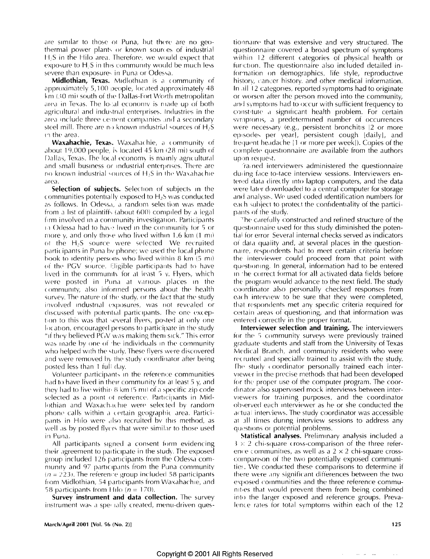are similar to those of Puna, but there are no geothermal power plants or known sources of industrial H<sub>2</sub>S in the Hilo area. Therefore, we would expect that exposure to H.S in this community would be much less severe than exposures in Puna or Odessa.

Midlothian, Texas. Midlothian is a community of approximately 5,100 people, located approximately 48 km (30 mi) south of the Dallas-Fort Worth metropolitan area in Texas. The local economy is made up of both agricultural and industrial enterprises. Industries in the area include three cement companies and a secondary steel mill. There are no known industrial sources of  $H_2S$ in the area.

Waxahachie, Texas. Waxahachie, a community of about 19,000 people, is located 45 km (28 mi) south of Dallas, Texas. The local economy is mainly agricultural and small business or industrial enterprises. There are no known industrial sources of H<sub>2</sub>S in the Waxahachie area.

Selection of subjects. Selection of subjects in the communities potentially exposed to  $H_2$ S was conducted as follows. In Odessa, a random selection was made from a list of plaintiffs (about 600) compiled by a legal firm involved in a community investigation. Participants in Odessa had to have lived in the community for 5 or more y, and only those who lived within 1.6  $km(1 \text{ m})$ of the H<sub>2</sub>S source were selected. We recruited participants in Puna by phone; we used the local phone book to identify persons who lived within 8 km (5 mi) of the PGV source. Eligible participants had to have lived in the community for at least 5 y. Flyers, which were posted in Puna at various places in the community, also informed persons about the health survey. The nature of the study, or the fact that the study involved industrial exposures, was not revealed or discussed with potential participants. The one exception to this was that several flyers, posted at only one location, encouraged persons to participate in the study "if they believed PGV was making them sick." This error was made by one of the individuals in the community who helped with the study. These flyers were discovered and were removed by the study coordinator after being posted less than 1 full day.

Volunteer participants in the reference communities had to have lived in their community for at least 5 y, and they had to live within  $8 \text{ km}$  (5 mi) of a specific zip code selected as a point of reference. Participants in Midlothian and Waxachachie were selected by random phone calls within a certain geographic area. Participants in Hilo were also recruited by this method, as well as by posted flyers that were similar to those used in Puna.

All participants signed a consent form evidencing their agreement to participate in the study. The exposed group included 126 participants from the Odessa community and 97 participants from the Puna community  $(n = 223)$ . The reference group included 58 participants from Midlothian, 54 participants from Waxahachie, and 58 participants from Hilo ( $n = 170$ ).

Survey instrument and data collection. The survey instrument was a specially created, menu-driven questionnaire that was extensive and very structured. The questionnaire covered a broad spectrum of symptoms within 12 different categories of physical health or function. The questionnaire also included detailed information on demographics, life style, reproductive history, cancer history, and other medical information. In all 12 categories, reported symptoms had to originate or worsen after the person moved into the community, and symptoms had to occur with sufficient frequency to constitute a significant health problem. For certain symptonis, a predetermined number of occurrences were necessary (e.g., persistent bronchitis |2 or more episodes per year], persistent cough [daily], and frequent headache [1 or more per week]). Copies of the complete questionnaire are available from the authors upon request.

Trained interviewers administered the questionnaire during face to-tace interview sessions. Interviewers entered data directly into laptop computers, and the data were later downloaded to a central computer for storage and analysis. We used coded identification numbers for each subject to protect the confidentiality of the participants of the study.

The carefully constructed and refined structure of the questionnaire used for this study diminished the potential for error. Several internal checks served as indicators of data quality and, at several places in the questionnaire, respondents had to meet certain criteria before the interviewer could proceed from that point with questioning. In general, information had to be entered in the correct format for all activated data fields before the program would advance to the next field. The study coordinator also personally checked responses from each interview to be sure that they were completed, that respondents met any specific criteria required for certain areas of questioning, and that information was entered correctly in the proper format.

Interviewer selection and training. The interviewers for the 5 community surveys were previously trained graduate students and staff from the University of Texas Medical Branch, and community residents who were recruited and specially trained to assist with the study. The study coordinator personally trained each interviewer in the precise methods that had been developed for the proper use of the computer program. The coordinator also supervised mock interviews between interviewers for training purposes, and the coordinator observed each interviewer as he or she conducted the actual interviews. The study coordinator was accessible at all times during interview sessions to address any questions or potential problems.

Statistical analyses. Preliminary analysis included a  $3 \times 2$  chi-square cross-comparison of the three reference communities, as well as a  $2 \times 2$  chi-square crosscomparison of the two potentially exposed communities. We conducted these comparisons to determine if there were any significant differences between the two exposed communities and the three reference communities that would prevent them from being combined into the larger exposed and reference groups. Prevalence rates for total symptoms within each of the 12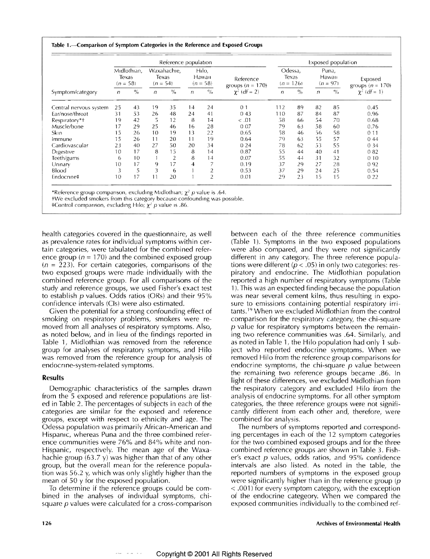| Symptom/category       | Reference population                      |      |                                    |      |                              |                |                                   | Exposed population              |               |                              |      |                               |  |
|------------------------|-------------------------------------------|------|------------------------------------|------|------------------------------|----------------|-----------------------------------|---------------------------------|---------------|------------------------------|------|-------------------------------|--|
|                        | Midlothian.<br><b>Texas</b><br>$(n = 58)$ |      | Waxahachie.<br>Texas<br>$(n = 54)$ |      | Hilo.<br>Hawan<br>$(n = 58)$ |                | Reference<br>groups ( $n = 170$ ) | Odessa,<br>Texas<br>$(n = 126)$ |               | Puna,<br>Hawan<br>$(n = 97)$ |      | Exposed<br>groups $(n = 170)$ |  |
|                        | $\eta$                                    | $\%$ | n                                  | $\%$ | $\eta$                       | $\frac{0}{6}$  | $\chi^2$ (df = 2)                 | $\sqrt{2}$                      | $\frac{0}{0}$ | $\mathbf n$                  | $\%$ | $\chi^2$ (df = 1)             |  |
| Central nervous system | 25                                        | 43   | 19                                 | 35   | 14                           | 24             | 0 <sub>1</sub>                    | 112                             | 89            | 82                           | 85   | 0.45                          |  |
| Ear/nose/throat        | 31                                        | 53   | 26                                 | 48   | 24                           | 41             | 043                               | 110                             | 87            | 84                           | 87   | 0.96                          |  |
| Respiratory*+          | 19                                        | 42   | 5                                  | 12   | 8                            | 14             | < .01                             | 58                              | 66            | 54                           | 70   | 0.68                          |  |
| Muscle/bone            | 17                                        | 29   | 25                                 | 46   | 16                           | 28             | 0.07                              | 79                              | 63            | 58                           | 60   | 0.76                          |  |
| <b>Skin</b>            | 15                                        | 26   | 10                                 | 19   | 13                           | 22             | 0.65                              | 58                              | 46            | 56                           | 58   | 0.11                          |  |
| Immune                 | 15                                        | 26   | 11                                 | 20   | 11                           | 19             | 0.64                              | 79                              | 63            | 55                           | 57   | 0.44                          |  |
| Cardiovascular         | 23                                        | 40   | 27                                 | 50   | 20                           | 34             | 0 24                              | 78                              | 62            | 53                           | 55   | 0 34                          |  |
| Digestive              | 10                                        | 17   | 8                                  | 15   | 8                            | 14             | 0.87                              | 55                              | 44            | 40                           | 41   | 082                           |  |
| Teeth/gums             | 6                                         | 10   |                                    | 2    | 8                            | 14             | 0.07                              | 55                              | 44            | 31                           | 32   | 010                           |  |
| Urinary                | 10                                        | 17   | 9                                  | 17   | 4                            | 7              | 0.19                              | 37                              | 29            | 27                           | 28   | 0.92                          |  |
| Blood                  | 3                                         | 5    | 3                                  | 6    |                              | 2              | 0.53                              | 37                              | 29            | 24                           | 25   | 0.54                          |  |
| Endocrine‡             | 10                                        | 17   | 11                                 | 20   |                              | $\overline{2}$ | 0.01                              | 29                              | 23            | 15                           | 15   | 022                           |  |

'Reference group comparison, excludmg Midlothian; *Xl* p value is .64.

tWe excluded smokers from this category because confounding was possible.

 $\pm$ Control comparison, excluding Hilo;  $\chi^2$  *p* value is .86.

health categories *covered* in the questionnaire, as well as prevalence rates for individual symptoms within certain categories, were tabulated for the combined refer~ ence group ( $n = 170$ ) and the combined exposed group  $(n = 223)$ . For certain categories, comparisons of the two exposed groups were made individually with the combined reference group. For all comparisons of the study and reference groups, we used Fisher's exact test to establish p values. Odds ratios (ORs) and their 95% confidence intervals (Cis) were also estimated.

Given the potential for a strong confounding effect of smoking on respiratory problems, smokers were re*moved* from all analyses of respiratory symptoms. Also, as noted below, and in lieu of the findings reported in Table 1, Midlothian was *removed* from the reference group for analyses of respiratory symptoms, and Hilo was removed from the reference group for analysis of endocrine-system-related symptoms.

# Results

Demographic characteristics of the samples drawn from the 5 exposed and reference populations are listed in Table 2. The percentages of subjects in each of the categories are similar for the exposed and reference groups, except with respect to ethnicity and age. The Odessa population was primarily African-American and HispaniC, whereas Puna and the three combined refer~ ence communities were 76% and 84% white and non-Hispanic, respectively. The mean age of the Waxahachie group  $(63.7 \text{ y})$  was higher than that of any other group, but the overall mean for the reference population was 56.2 y, which was only slightly higher than the mean of 50 y for the exposed population.

To determine if the reference groups could be combined in the analyses of individual symptoms, chisquare p values were calculated for a cross-comparison between each of the three reference communities (Table 1). Symptoms in the two exposed populations were also compared, and they were not significantly different in any category. The three reference populations were different ( $p < .05$ ) in only two categories: respiratory and endocrine. The Midlothian population reported a high number of respiratory symptoms (Table 1). This was an expected finding because the population was near several cement kilns, thus resulting in exposure to emissions containing potential respiratory irritants.<sup>19</sup> When we excluded Midlothian from the control comparison for the respiratory category, the chi-square p value for respiratory symptoms between the remaining two reference communities was .64. Similarly, and as noted in Table 1, the Hilo population had only 1 subject who reported endocrine symptoms. When we *removed* Hilo from the reference group comparisons for endocrine symptoms, the chi-square  $p$  value between the remaining two reference groups became .86. In light of these differences, we excluded Midlothian from the respiratory category and excluded Hilo from the analysis of endocrine symptoms. For all other symptom categories, the three reference groups were not significantly different from each other and, therefore, were combined for analysis.

The numbers of symptoms reported and corresponding percentages in each of the 12 symptom categories for the two combined exposed groups and for the three combined reference groups are shown in Table 3. Fisher's exact p values, odds ratios, and 95% confidence intervals are also listed. As noted in the table, the reported numbers of symptoms in the exposed group were significantly higher than in the reference group (p < .001) for every symptom category, with the exception of the endocrine categeory. When we compared the exposed communities individually to the combined ref-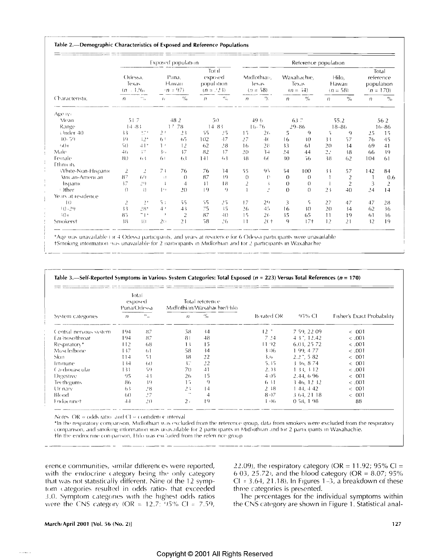### Table 2.—Demographic Characteristics of Exposed and Reference Populations

|                    | Exposed population              |                |                             |                |                                                 |                    |                                  | Reference population |                                    |              |                              |                |                                               |                |  |
|--------------------|---------------------------------|----------------|-----------------------------|----------------|-------------------------------------------------|--------------------|----------------------------------|----------------------|------------------------------------|--------------|------------------------------|----------------|-----------------------------------------------|----------------|--|
| Characteristic     | Odessa,<br>Texas<br>$(n - 126)$ |                | Puna,<br>Hawaii<br>$n = 97$ |                | Total<br>exposed<br>popul ition.<br>$(n = 223)$ |                    | Midlothian,<br>lexas.<br>(22.58) |                      | Waxahachie,<br>Texas<br>$(n = 54)$ |              | Hilo,<br>Hawan<br>$(n = 58)$ |                | Total<br>reference<br>population<br>$n = 170$ |                |  |
|                    | $\mathbf{r}$                    | m,             | $\mathbf{r}$                | $\%$           | $\boldsymbol{n}$                                | $\Omega_{\rm Q}^2$ | $\boldsymbol{n}$                 | $\alpha$             | n                                  | $\%$         | $\overline{n}$               | $\%$           | $\overline{p}$                                | $\%$           |  |
| Age tyr            |                                 |                |                             |                |                                                 |                    |                                  |                      |                                    |              |                              |                |                                               |                |  |
| Mean               |                                 | 51.7           |                             | $-482$         |                                                 | 5()                |                                  | 49.6                 |                                    | 63.7         |                              | 55.2           |                                               | 562            |  |
| Range              | $14 - 83$                       |                | 78<br>17                    |                | 1483                                            |                    | $16 - 76$                        |                      | $29 - 86$                          |              | $18 - 86$                    |                | $16 - 86$                                     |                |  |
| Under 40           | 33                              | $17*$          | 2:                          | 23             | 55                                              | 25                 | 15                               | $26 -$               | 5                                  | $\mathbf Q$  | 5                            | 9              | 25                                            | 15             |  |
| 40.59              | 39                              | $12*$          | 6 <sup>2</sup>              | 65             | 102                                             | .17                | 27                               | 46                   | 16                                 | 30           | 33                           | 57             | 76                                            | 45             |  |
| (1)(1)             | 50                              | $-11*$         | 1 <sup>t</sup>              | 12             | 62                                              | 28                 | 16                               | 28                   | 33                                 | 61           | 20                           | 34             | 69                                            | 41             |  |
| Male               | 4 <sub>0</sub>                  | $\ddot{\chi}$  | $\}$ .,                     | 37             | 82                                              | 37                 | 20                               | 34                   | 24                                 | 44           | 22                           | 38             | 66                                            | 39             |  |
| <b>Female</b>      | 80                              | 6, 3           | 61                          | 63             | 141                                             | ${6}$              | 38                               | 66                   | 30                                 | $\tilde{1}6$ | 38                           | 62             | 104                                           | 61             |  |
| <b>Ethnicity</b>   |                                 |                |                             |                |                                                 |                    |                                  |                      |                                    |              |                              |                |                                               |                |  |
| White-Non-Hispanic | $\overline{2}$                  | $\overline{z}$ | 74                          | 76             | 76                                              | 34                 | 55                               | 95                   | 54                                 | 100          | 33                           | 57             | 142                                           | 84             |  |
| Atric an-American  | 87                              | 69             | $\rightarrow$               | $\theta$       | 87                                              | 39                 | $\theta$                         | $\bigcap$            | $\Omega$                           | $\theta$     |                              | $\overline{2}$ |                                               | 0.6            |  |
| lispanic           | 37                              | 29             | $\overline{1}$              | $\overline{4}$ | 11                                              | 18                 | 2                                | $\frac{1}{2}$        | $\Omega$                           | $\Omega$     |                              | $\overline{2}$ | 3                                             | $\overline{2}$ |  |
| ■ Ither            | $\Omega$                        | $\Omega$       | 11                          | 20             | 19                                              | Q                  | Î.                               | $\,$                 | $\theta$                           | $\Omega$     | 23                           | 40             | 24                                            | 14             |  |
| Years at residence |                                 |                |                             |                |                                                 |                    |                                  |                      |                                    |              |                              |                |                                               |                |  |
| $\overline{10}$    | $\mathbf{r}$                    | $\frac{1}{2}$  | 5:                          | 55             | 55.                                             | 25                 | 17                               | 29                   | 3                                  | 5            | 27                           | 47             | 47                                            | 28             |  |
| (0.29)             | 33                              | $28*$          | 4 <sup>2</sup>              | 43             | 75                                              | 35                 | 26                               | $45^{\circ}$         | 16                                 | 30           | 20                           | 34             | 62                                            | 36             |  |
| $30+$              | 85                              | $-1*$          | - 1                         | 2              | 87                                              | 4()                | 15                               | 26                   | 35                                 | 65           | 11                           | 19             | 61                                            | 36             |  |
| Smokerst           | 38                              | 3()            | 20                          | 21             | 58                                              | 26                 | 11                               | $2($ +               | $\mathbf{Q}$                       | $17+$        | 12                           | 21             | 32                                            | 19             |  |

\*Age was unavailable tor 4 Odessa participants, and vears at residence for 6 Odessa participants were unavailable +Smoking information was unavailable for 2 naiticipants in Midlothian and for 2 participants in Waxahachie

| System categories       | <b>Total</b><br>exposed<br>Puna/Odessa. |                  |                  | Total reference<br>Midlothian/Waxahachie/Hilo | Iterated OR |                     |                                   |
|-------------------------|-----------------------------------------|------------------|------------------|-----------------------------------------------|-------------|---------------------|-----------------------------------|
|                         | $\overline{D}$                          | $\alpha_{\rm m}$ | $\boldsymbol{D}$ | $\frac{\alpha}{\alpha}$                       |             | -95% CL             | <b>Fisher's Exact Probability</b> |
| Central nervous system. | 194                                     | 87               | 58               | $\frac{1}{4}$                                 | $12-7$      | 7 59, 22 09         | <001                              |
| Ear/nose/throat         | 194                                     | 87               | 8 <sup>1</sup>   | 48                                            | 7 24        | $4, 3$ , 12.42      | < 0.01                            |
| Respiratory*            | 112                                     | 68               | 1 <sup>3</sup>   | 15                                            | 11.92       | 6.03.2572           | < 0.001                           |
| Muscle/bone             | 137                                     | 61               | 58               | 34                                            | 3.06        | 1 99, 4 77          | $-.001$                           |
| Skin.                   | 114                                     | 51               | 38               | 22                                            | 3.6         | $2.2^{\circ}$ , 582 | < 001                             |
| Immune                  | 134                                     | (5()             | 37               | 22                                            | 5.35        | 3.36, 8.74          | & 001                             |
| Ca-diovascular          | 131                                     | 59               | 70               | $-11$                                         | 2.13        | 1 33, 3 12          | < 0.001                           |
| Digestive               | -95                                     | $-13$            | 26               | 15                                            | 4.05        | 2.44, 6.96          | < 001                             |
| Teeth/gums              | -86                                     | 39               | 15               | 9                                             | 6.31        | 3 46, 12 32         | < 0.001                           |
| Ur narv                 | 63                                      | 28               | 23               | 14                                            | 248         | $1\,44, 4\,42$      | ~<~001                            |
| Blood                   | 60                                      | 27               |                  | 4                                             | 8.07        | 3 64, 21 18         | < 001                             |
| Endocrinet              | $-1.1$                                  | 20               | 2 <sub>1</sub>   | 19                                            | $1 + 16$    | 0.58.198            | 88                                |

#### $\sim$   $\sim$   $\sim$  $\sim$ **Contract**  $-$ .

Notes: OR = odds ratio: and CI = contidence interval.

\*In the respiratory comparison, Midlothian was excluded from the reterence group, data from smokers were excluded from the respiratory comparison, and smoking information was unavailable for 2 participants in Midlothian and for 2 participants in Waxahachie. tIn the endrocrine comparison, Hilo was excluded from the reference group

erence communities, similar differences were reported, with the endocrine category being the only category that was not statistically different. Nine of the 12 symptom categories resulted in odds ratios that exceeded 3.0. Symptom categories with the highest odds ratios were the CNS category (OR =  $12.7$ ;  $95\%$  Cl =  $7.59$ ,

22.09), the respiratory category (OR = 11.92; 95% CI = 6.03, 25.72), and the blood category (OR = 8.07; 95% CI = 3.64, 21.18). In Figures 1–3, a breakdown of these three categories is presented.

The percentages for the individual symptoms within the CNS category are shown in Figure 1. Statistical anal-

### March/April 2001 [Vol. 56 (No. 2)]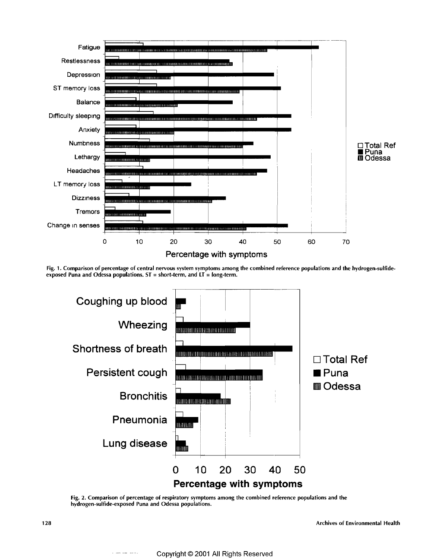

Fig. 1. Comparison of percentage of central nervous system symptoms among the combined reference populations and the hydrogen-sulfideexposed Puna and Odessa populations.  $ST = short-term$ , and  $LT = long-term$ .



Fig. 2. Comparison of percentage of respiratory symptoms among the combined reference populations and the hydrogen-sulfide-exposed Puna and Odessa populations.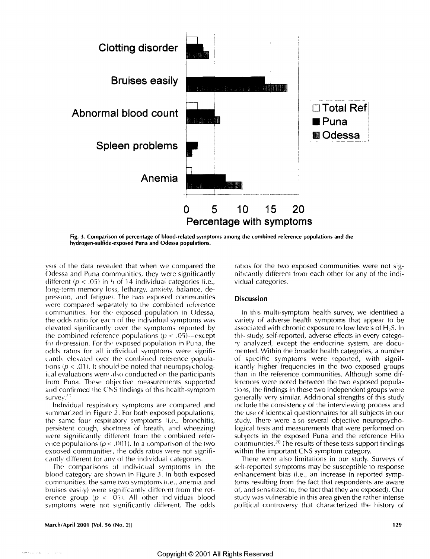

Fig. 3. Comparison of percentage of blood-related symptoms among the combined reference populations and the hydrogen-sulfide-exposed Puna and Odessa populations.

ysis of the data revealed that when we compared the Odessa and Puna communities, they were significantly different ( $p < .05$ ) in 6 of 14 individual categories (i.e., long-term memory loss, lethargy, anxiety, balance, depression, and fatigue). The two exposed communities were compared separately to the combined reference communities. For the exposed population in Odessa, the odds ratio for each of the individual symptoms was elevated significantly over the symptoms reported by the combined reference populations  $(p < .05)$ —except for depression. For the exposed population in Puna, the odds ratios for all individual symptoms were significantly elevated over the combined reference populations ( $p < .01$ ). It should be noted that neuropsychological evaluations were also conducted on the participants from Puna. These objective measurements supported and confirmed the CNS findings of this health-symptom survey. $20$ 

Individual respiratory symptoms are compared and summarized in Figure 2. For both exposed populations, the same four respiratory symptoms (i.e., bronchitis, persistent cough, shortness of breath, and wheezing) were significantly different from the combined reference populations ( $p < .001$ ). In a comparison of the two exposed communities, the odds ratios were not significantly different for any of the individual categories.

The comparisons of individual symptoms in the blood category are shown in Figure 3. In both exposed communities, the same two symptoms (i.e., anemia and bruises easily) were significantly different from the reference group ( $p < 05$ ). All other individual blood symptoms were not significantly different. The odds

ratios for the two exposed communities were not significantly different from each other for any of the individual categories.

# **Discussion**

In this multi-symptom health survey, we identified a variety of adverse health symptoms that appear to be associated with chronic exposure to low levels of  $H_2S$ . In this study, self-reported, adverse effects in every category analyzed, except the endocrine system, are documented. Within the broader health categories, a number of specific symptoms were reported, with significantly higher frequencies in the two exposed groups than in the reference communities. Although some differences were noted between the two exposed populations, the findings in these two independent groups were generally very similar. Additional strengths of this study include the consistency of the interviewing process and the use of identical questionnaires for all subjects in our study. There were also several objective neuropsychological tests and measurements that were performed on subjects in the exposed Puna and the reference Hilo  $commuties. <sup>20</sup> The results of these tests support findings$ within the important CNS symptom category.

There were also limitations in our study. Surveys of sell-reported symptoms may be susceptible to response enhancement bias (i.e., an increase in reported symptoms resulting from the fact that respondents are aware of, and sensitized to, the fact that they are exposed). Our study was vulnerable in this area given the rather intense political controversy that characterized the history of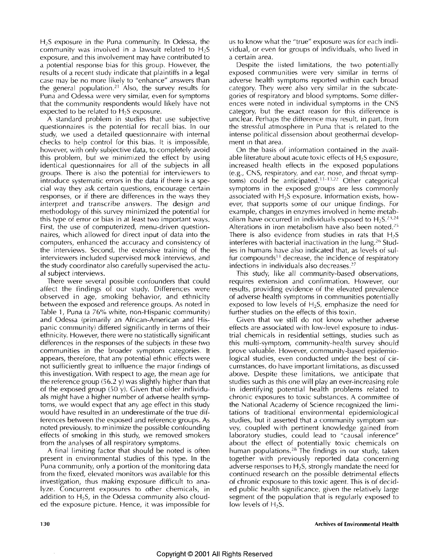H2S exposure in the Puna community. In Odessa, the community was involved in a lawsuit related to  $H_2S$ exposure, and this involvement may have contributed to a potential response bias for this group. However, the results of a recent study indicate that plaintiffs in a legal case may be no more likely to "enhance" answers than the general population.<sup>21</sup> Also, the survey results for Puna and Odessa were very similar, even for symptoms that the community respondents would likely have not expected to be related to  $H_2S$  exposure.

A standard problem in studies that use subjective questionnaires is the potential for recall bias. In our study, we used a detailed questionnaire with internal checks to help control for this bias. It is impossible, however, with only subjective data, to completely avoid this problem, but we minimized the effect by using identical questionnaires for all of the subjects in all groups. There is also the potential for interviewers to introduce systematic errors in the data if there is a special way they ask certain questions, encourage certain responses, or if there are differences in the ways they interpret and transcribe answers. The design and methodology of this survey minimized the potential for this type of error or bias in at least two important ways. First, the use of computerized, menu-driven questionnaires, which allowed for direct input of data into the computers, enhanced the accuracy and consistency of the interviews. Second, the extensive training of the interviewers included supervised mock interviews, and the study coordinator also carefully supervised the actual subject interviews.

There were several possible confounders that could affect the findings of our study. Differences were observed in age, smoking behavior, and ethnicity between the exposed and reference groups. As noted in Table 1, Puna (a 76% white, non-Hispanic community) and Odessa (primarily an African-American and Hispanic community) differed significantly in terms of their ethnicity. However, there were no statistically significant differences in the responses of the subjects in these two communities in the broader symptom categories. It appears, therefore, that any potential ethnic effects were not sufficiently great to influence the major findings of this investigation. With respect to age, the mean age for the reference group (56.2 y) was slightly higher than that of the exposed group (50 y). Given that older individuals might have a higher number of adverse health symptoms, we would expect that any age effect in this study would have resulted in an underestimate of the true differences between the exposed and reference groups. As noted previously, to minimize the possible confounding effects of smoking in this study, we removed smokers from the analyses of all respiratory symptoms.

A final limiting factor that should be noted is often present in environmental studies of this type. In the Puna community, only a portion of the monitoring data from the fixed, elevated monitors was available for this investigation, thus making exposure difficult to analyze. Concurrent exposures to other chemicals, in addition to  $H_2S$ , in the Odessa community also clouded the exposure picture. Hence, it was impossible for

us to know what the "true" exposure was for each individual, or even for groups of individuals, who lived in a certain area.

Despite the listed limitations, the two potentially exposed communities were very similar in terms of adverse health symptoms reported Within each broad category. They were also very similar in the subcategories of respiratory and blood symptoms. Some differences were noted in individual symptoms in the CNS category, but the exact reason for this difference is unclear. Perhaps the difference may result, in part, from the stressful atmosphere in Puna that is related to the intense political dissension about geothermal development in that area.

On the basis of information contained in the available literature about acute toxic effects of  $H_2S$  exposure, increased health effects in the exposed populations  $(e.g., \ncNS, \nrespiratory, \nand ear, \nrose, \nand \nthrough \nfor \n  $\text{conv}(X, Y) = \text{conv}(X, Y) + \text{conv}(Y) + \text{conv}(Y) + \text{conv}(Y) + \text{conv}(Y) + \text{conv}(Y) + \text{conv}(Y) + \text{conv}(Y) + \text{conv}(Y) + \text{conv}(Y) + \text{conv}(Y) + \text{conv}(Y) + \text{conv}(Y) + \text{conv}(Y) + \text{conv}(Y) + \text{conv}(Y) + \text{conv}(Y) + \text{conv}(Y) + \text{conv}(Y) + \text{conv}(Y) + \text{conv}(Y) + \text{$$ toms) could be anticipated.<sup>11-13,22</sup> Other categorical symptoms in the exposed groups are less commonly associated with  $H_2S$  exposure. Information exists, however, that supports some of our unique findings. For example, changes in enzymes involved in heme metabolism have occurred in individuals exposed to  $H_2S^{23,24}$ Alterations in iron metabolism have also been noted.<sup>25</sup> There is also evidence from studies in rats that  $H_2S$ interferes with bacterial inactivation in the lung.<sup>26</sup> Studies in humans have also indicated that, as levels of sulfur compounds<sup>13</sup> decrease, the incidence of respiratory infections in individuals also decreases. $27$ 

This study, like all community-based observations, requires extension and confirmation. However, our results, providing evidence of the elevated prevalence of adverse health symptoms in communities potentially exposed to low levels of  $H_2S$ , emphasize the need for further studies on the effects of this toxin.

Given that we still do not know whether adverse effects are associated with low-level exposure to industrial chemicals in residential settings, studies such as this multi-symptom, community-health survey should prove valuable. However, community-based epidemiological studies, even conducted under the best of circumstances, do have important limitations, as discussed above. Despite these limitations, we anticipate that studies such as this one will play an ever-increasing role in identifying potential health problems related to chronic exposures to toxic substances. A committee of the National Academy of Science recognized the limitations of traditional environmental epidemiological studies, but it asserted that a community symptom survey, coupled with pertinent knowledge gained from laboratory studies, could lead to "causal inference" about the effect of potentially toxic chemicals on human populations.<sup>28</sup> The findings in our study, taken together with previously reported data concerning adverse responses to  $H_2S$ , strongly mandate the need for continued research on the possible detrimental effects of chronic exposure to this toxic agent. This is of decided public health significance, given the relatively large segment of the population that is regularly exposed to low levels of  $H_2S$ .